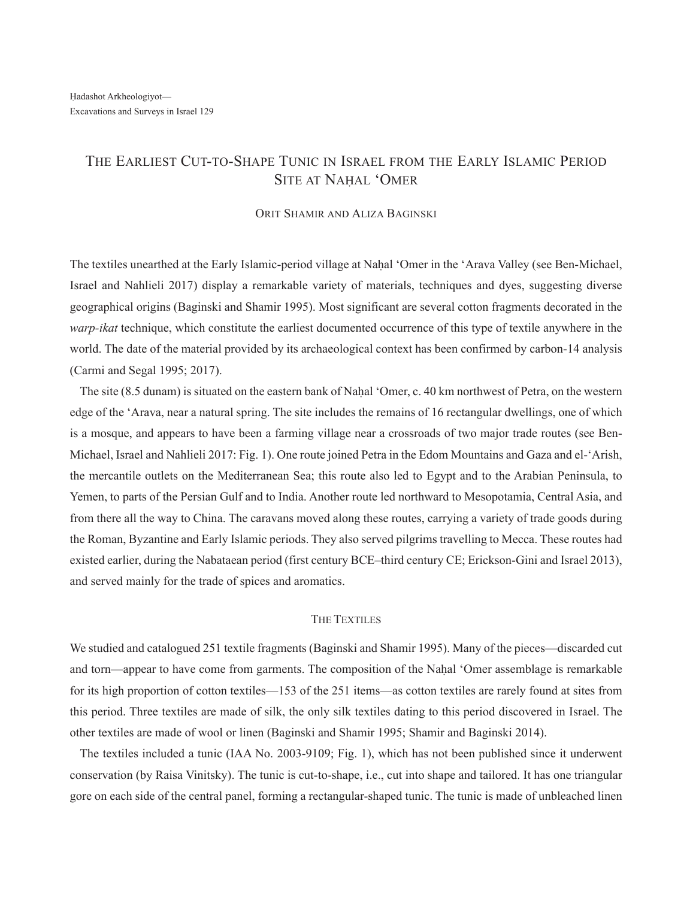# THE EARLIEST CUT-TO-SHAPE TUNIC IN ISRAEL FROM THE EARLY ISLAMIC PERIOD SITE AT NAHAL 'OMER

### ORIT SHAMIR AND ALIZA BAGINSKI

The textiles unearthed at the Early Islamic-period village at Nahal 'Omer in the 'Arava Valley (see Ben-Michael, Israel and Nahlieli 2017) display a remarkable variety of materials, techniques and dyes, suggesting diverse geographical origins (Baginski and Shamir 1995). Most significant are several cotton fragments decorated in the *warp-ikat* technique, which constitute the earliest documented occurrence of this type of textile anywhere in the world. The date of the material provided by its archaeological context has been confirmed by carbon-14 analysis (Carmi and Segal 1995; 2017).

The site (8.5 dunam) is situated on the eastern bank of Nahal 'Omer, c. 40 km northwest of Petra, on the western edge of the 'Arava, near a natural spring. The site includes the remains of 16 rectangular dwellings, one of which is a mosque, and appears to have been a farming village near a crossroads of two major trade routes (see Ben-Michael, Israel and Nahlieli 2017: Fig. 1). One route joined Petra in the Edom Mountains and Gaza and el-'Arish, the mercantile outlets on the Mediterranean Sea; this route also led to Egypt and to the Arabian Peninsula, to Yemen, to parts of the Persian Gulf and to India. Another route led northward to Mesopotamia, Central Asia, and from there all the way to China. The caravans moved along these routes, carrying a variety of trade goods during the Roman, Byzantine and Early Islamic periods. They also served pilgrims travelling to Mecca. These routes had existed earlier, during the Nabataean period (first century BCE–third century CE; Erickson-Gini and Israel 2013), and served mainly for the trade of spices and aromatics.

## The TexTiles

We studied and catalogued 251 textile fragments (Baginski and Shamir 1995). Many of the pieces—discarded cut and torn—appear to have come from garments. The composition of the Nahal 'Omer assemblage is remarkable for its high proportion of cotton textiles—153 of the 251 items—as cotton textiles are rarely found at sites from this period. Three textiles are made of silk, the only silk textiles dating to this period discovered in Israel. The other textiles are made of wool or linen (Baginski and Shamir 1995; Shamir and Baginski 2014).

The textiles included a tunic (IAA No. 2003-9109; Fig. 1), which has not been published since it underwent conservation (by Raisa Vinitsky). The tunic is cut-to-shape, i.e., cut into shape and tailored. It has one triangular gore on each side of the central panel, forming a rectangular-shaped tunic. The tunic is made of unbleached linen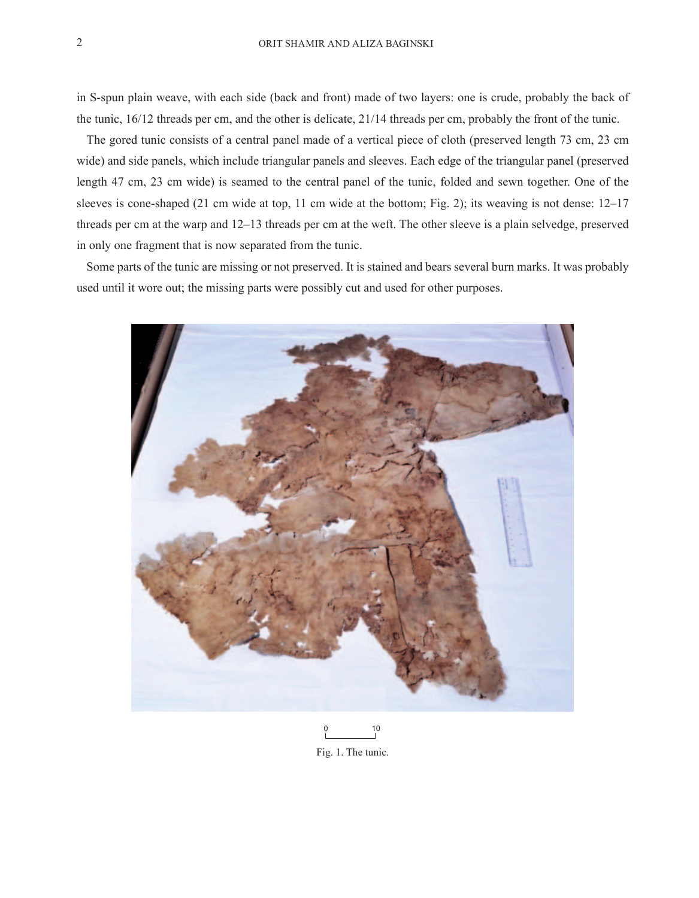in S-spun plain weave, with each side (back and front) made of two layers: one is crude, probably the back of the tunic, 16/12 threads per cm, and the other is delicate, 21/14 threads per cm, probably the front of the tunic.

The gored tunic consists of a central panel made of a vertical piece of cloth (preserved length 73 cm, 23 cm wide) and side panels, which include triangular panels and sleeves. Each edge of the triangular panel (preserved length 47 cm, 23 cm wide) is seamed to the central panel of the tunic, folded and sewn together. One of the sleeves is cone-shaped (21 cm wide at top, 11 cm wide at the bottom; Fig. 2); its weaving is not dense: 12–17 threads per cm at the warp and 12–13 threads per cm at the weft. The other sleeve is a plain selvedge, preserved in only one fragment that is now separated from the tunic.

Some parts of the tunic are missing or not preserved. It is stained and bears several burn marks. It was probably used until it wore out; the missing parts were possibly cut and used for other purposes.



10 0

Fig. 1. The tunic.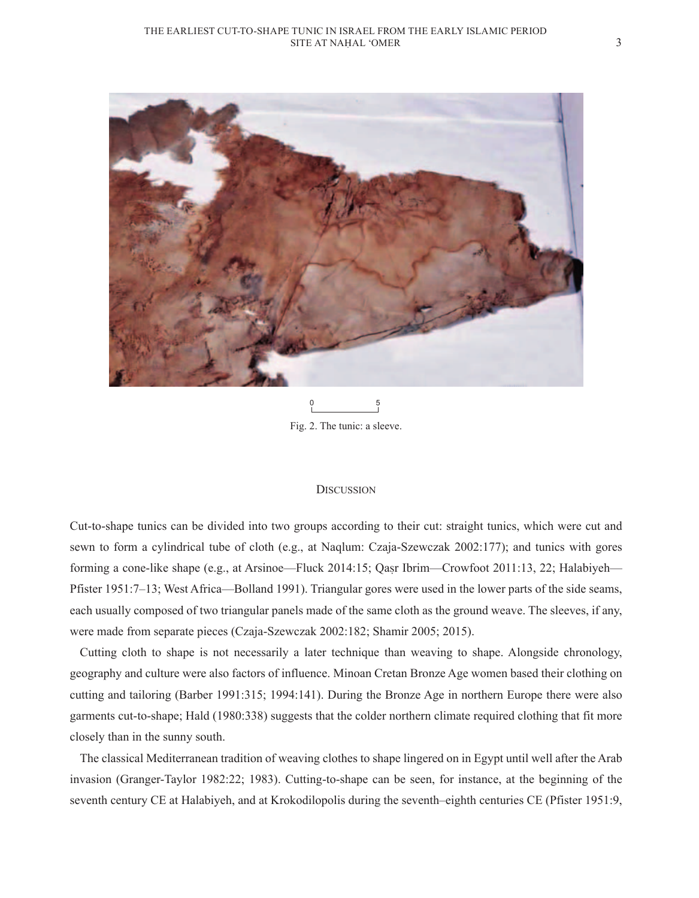

Fig. 2. The tunic: a sleeve. 0 5

#### **DISCUSSION**

Cut-to-shape tunics can be divided into two groups according to their cut: straight tunics, which were cut and sewn to form a cylindrical tube of cloth (e.g., at Naqlum: Czaja-Szewczak 2002:177); and tunics with gores forming a cone-like shape (e.g., at Arsinoe—Fluck 2014:15; Qasr Ibrim—Crowfoot 2011:13, 22; Halabiyeh— Pfister 1951:7–13; West Africa—Bolland 1991). Triangular gores were used in the lower parts of the side seams, each usually composed of two triangular panels made of the same cloth as the ground weave. The sleeves, if any, were made from separate pieces (Czaja-Szewczak 2002:182; Shamir 2005; 2015).

Cutting cloth to shape is not necessarily a later technique than weaving to shape. Alongside chronology, geography and culture were also factors of influence. Minoan Cretan Bronze Age women based their clothing on cutting and tailoring (Barber 1991:315; 1994:141). During the Bronze Age in northern Europe there were also garments cut-to-shape; Hald (1980:338) suggests that the colder northern climate required clothing that fit more closely than in the sunny south.

The classical Mediterranean tradition of weaving clothes to shape lingered on in Egypt until well after the Arab invasion (Granger-Taylor 1982:22; 1983). Cutting-to-shape can be seen, for instance, at the beginning of the seventh century CE at Halabiyeh, and at Krokodilopolis during the seventh–eighth centuries CE (Pfister 1951:9,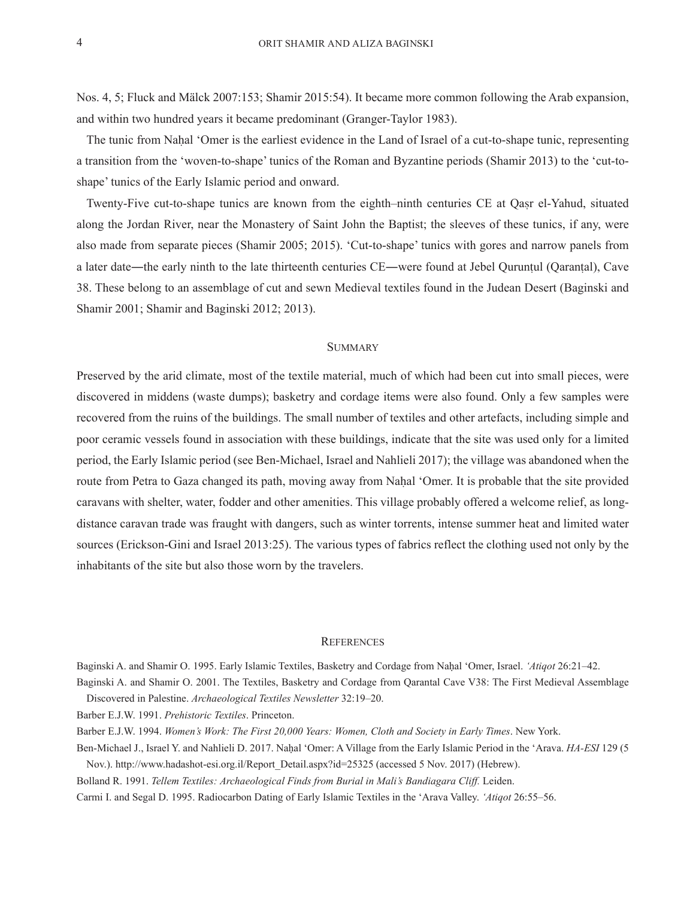Nos. 4, 5; Fluck and Mälck 2007:153; Shamir 2015:54). It became more common following the Arab expansion, and within two hundred years it became predominant (Granger-Taylor 1983).

The tunic from Nahal 'Omer is the earliest evidence in the Land of Israel of a cut-to-shape tunic, representing a transition from the 'woven-to-shape' tunics of the Roman and Byzantine periods (Shamir 2013) to the 'cut-toshape' tunics of the Early Islamic period and onward.

Twenty-Five cut-to-shape tunics are known from the eighth–ninth centuries CE at Qasr el-Yahud, situated along the Jordan River, near the Monastery of Saint John the Baptist; the sleeves of these tunics, if any, were also made from separate pieces (Shamir 2005; 2015). 'Cut-to-shape' tunics with gores and narrow panels from a later date―the early ninth to the late thirteenth centuries CE―were found at Jebel Quruntul (Qarantal), Cave 38. These belong to an assemblage of cut and sewn Medieval textiles found in the Judean Desert (Baginski and Shamir 2001; Shamir and Baginski 2012; 2013).

#### **SUMMARY**

Preserved by the arid climate, most of the textile material, much of which had been cut into small pieces, were discovered in middens (waste dumps); basketry and cordage items were also found. Only a few samples were recovered from the ruins of the buildings. The small number of textiles and other artefacts, including simple and poor ceramic vessels found in association with these buildings, indicate that the site was used only for a limited period, the Early Islamic period (see Ben-Michael, Israel and Nahlieli 2017); the village was abandoned when the route from Petra to Gaza changed its path, moving away from Nahal 'Omer. It is probable that the site provided caravans with shelter, water, fodder and other amenities. This village probably offered a welcome relief, as longdistance caravan trade was fraught with dangers, such as winter torrents, intense summer heat and limited water sources (Erickson-Gini and Israel 2013:25). The various types of fabrics reflect the clothing used not only by the inhabitants of the site but also those worn by the travelers.

#### **REFERENCES**

Baginski A. and Shamir O. 1995. Early Islamic Textiles, Basketry and Cordage from Naḥal 'Omer, Israel. *'Atiqot* 26:21–42. Baginski A. and Shamir O. 2001. The Textiles, Basketry and Cordage from Qarantal Cave V38: The First Medieval Assemblage

Discovered in Palestine. *Archaeological Textiles Newsletter* 32:19–20.

Barber E.J.W. 1991. *Prehistoric Textiles*. Princeton.

Barber E.J.W. 1994. *Women's Work: The First 20,000 Years: Women, Cloth and Society in Early Times*. New York.

Ben-Michael J., Israel Y. and Nahlieli D. 2017. Naḥal 'Omer: A Village from the Early Islamic Period in the 'Arava. *HA-ESI* 129 (5 Nov.). http://www.hadashot-esi.org.il/Report\_Detail.aspx?id=25325 (accessed 5 Nov. 2017) (Hebrew).

Bolland R. 1991. *Tellem Textiles: Archaeological Finds from Burial in Mali's Bandiagara Cliff.* Leiden.

Carmi I. and Segal D. 1995. Radiocarbon Dating of Early Islamic Textiles in the 'Arava Valley. *'Atiqot* 26:55–56.